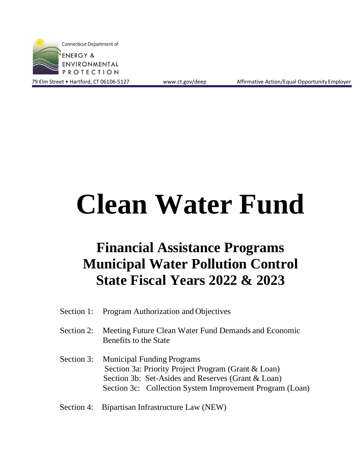

79 Elm Street • Hartford, CT 06106-5127 [www.ct.gov/deep](http://www.ct.gov/deep) Affirmative Action/Equal Opportunity Employer

# **Clean Water Fund**

## **Financial Assistance Programs Municipal Water Pollution Control State Fiscal Years 2022 & 2023**

- Section 1: Program Authorization and Objectives
- Section 2: Meeting Future Clean Water Fund Demands and Economic Benefits to the State
- Section 3: Municipal Funding Programs Section 3a: Priority Project Program (Grant & Loan) Section 3b: Set-Asides and Reserves (Grant & Loan) Section 3c: Collection System Improvement Program (Loan)
- Section 4: Bipartisan Infrastructure Law (NEW)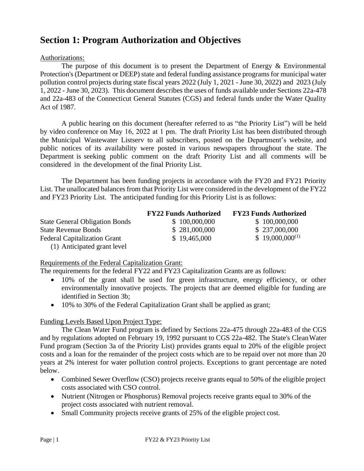## **Section 1: Program Authorization and Objectives**

#### Authorizations:

The purpose of this document is to present the Department of Energy  $\&$  Environmental Protection's (Department or DEEP) state and federal funding assistance programs for municipal water pollution control projects during state fiscal years 2022 (July 1, 2021 - June 30, 2022) and 2023 (July 1, 2022 - June 30, 2023). This document describes the uses of funds available under Sections 22a-478 and 22a-483 of the Connecticut General Statutes (CGS) and federal funds under the Water Quality Act of 1987.

A public hearing on this document (hereafter referred to as "the Priority List") will be held by video conference on May 16, 2022 at 1 pm. The draft Priority List has been distributed through the Municipal Wastewater Listserv to all subscribers, posted on the Department's website, and public notices of its availability were posted in various newspapers throughout the state. The Department is seeking public comment on the draft Priority List and all comments will be considered in the development of the final Priority List.

The Department has been funding projects in accordance with the FY20 and FY21 Priority List. The unallocated balances from that Priority List were considered in the development of the  $FY22$ and FY23 Priority List. The anticipated funding for this Priority List is as follows:

|                                       | <b>FY22 Funds Authorized</b> | <b>FY23 Funds Authorized</b> |
|---------------------------------------|------------------------------|------------------------------|
| <b>State General Obligation Bonds</b> | \$100,000,000                | \$100,000,000                |
| <b>State Revenue Bonds</b>            | \$281,000,000                | \$237,000,000                |
| <b>Federal Capitalization Grant</b>   | \$19,465,000                 | $$19,000,000^{(1)}$          |
| (1) Anticipated grant level           |                              |                              |

#### Requirements of the Federal Capitalization Grant:

The requirements for the federal FY22 and FY23 Capitalization Grants are as follows:

- 10% of the grant shall be used for green infrastructure, energy efficiency, or other environmentally innovative projects. The projects that are deemed eligible for funding are identified in Section 3b;
- 10% to 30% of the Federal Capitalization Grant shall be applied as grant;

#### Funding Levels Based Upon Project Type:

The Clean Water Fund program is defined by Sections 22a-475 through 22a-483 of the CGS and by regulations adopted on February 19, 1992 pursuant to CGS 22a-482. The State's CleanWater Fund program (Section 3a of the Priority List) provides grants equal to 20% of the eligible project costs and a loan for the remainder of the project costs which are to be repaid over not more than 20 years at 2% interest for water pollution control projects. Exceptions to grant percentage are noted below.

- Combined Sewer Overflow (CSO) projects receive grants equal to 50% of the eligible project costs associated with CSO control.
- Nutrient (Nitrogen or Phosphorus) Removal projects receive grants equal to 30% of the project costs associated with nutrient removal.
- Small Community projects receive grants of 25% of the eligible project cost.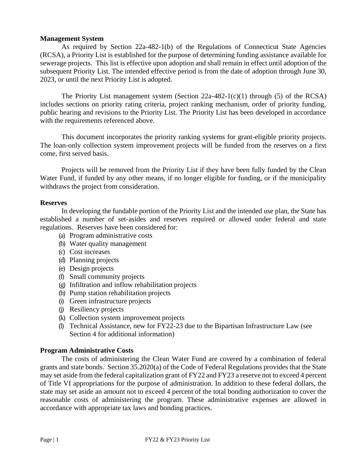#### **Management System**

As required by Section 22a-482-1(b) of the Regulations of Connecticut State Agencies (RCSA), a Priority List is established for the purpose of determining funding assistance available for sewerage projects. This list is effective upon adoption and shall remain in effect until adoption of the subsequent Priority List. The intended effective period is from the date of adoption through June 30, 2023, or until the next Priority List is adopted.

The Priority List management system (Section  $22a-482-1(c)(1)$  through (5) of the RCSA) includes sections on priority rating criteria, project ranking mechanism, order of priority funding, public hearing and revisions to the Priority List. The Priority List has been developed in accordance with the requirements referenced above.

This document incorporates the priority ranking systems for grant-eligible priority projects. The loan-only collection system improvement projects will be funded from the reserves on a first come, first served basis.

Projects will be removed from the Priority List if they have been fully funded by the Clean Water Fund, if funded by any other means, if no longer eligible for funding, or if the municipality withdraws the project from consideration.

#### **Reserves**

In developing the fundable portion of the Priority List and the intended use plan, the State has established a number of set-asides and reserves required or allowed under federal and state regulations. Reserves have been considered for:

- (a) Program administrative costs
- (b) Water quality management
- (c) Cost increases
- (d) Planning projects
- (e) Design projects
- (f) Small community projects
- (g) Infiltration and inflow rehabilitation projects
- (h) Pump station rehabilitation projects
- (i) Green infrastructure projects
- (j) Resiliency projects
- (k) Collection system improvement projects
- (l) Technical Assistance, new for FY22-23 due to the Bipartisan Infrastructure Law (see Section 4 for additional information)

#### **Program Administrative Costs**

The costs of administering the Clean Water Fund are covered by a combination of federal grants and state bonds. Section 35.2020(a) of the Code of Federal Regulations provides that the State may set aside from the federal capitalization grant of FY22 and FY23 a reserve not to exceed 4 percent of Title VI appropriations for the purpose of administration. In addition to these federal dollars, the state may set aside an amount not to exceed 4 percent of the total bonding authorization to cover the reasonable costs of administering the program. These administrative expenses are allowed in accordance with appropriate tax laws and bonding practices.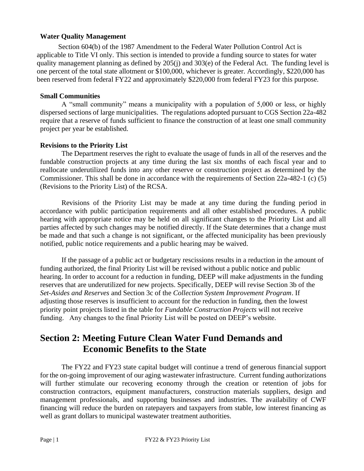#### **Water Quality Management**

Section 604(b) of the 1987 Amendment to the Federal Water Pollution Control Act is applicable to Title VI only. This section is intended to provide a funding source to states for water quality management planning as defined by 205(j) and 303(e) of the Federal Act. The funding level is one percent of the total state allotment or \$100,000, whichever is greater. Accordingly, \$220,000 has been reserved from federal FY22 and approximately \$220,000 from federal FY23 for this purpose.

#### **Small Communities**

A "small community" means a municipality with a population of 5,000 or less, or highly dispersed sections of large municipalities. The regulations adopted pursuant to CGS Section 22a-482 require that a reserve of funds sufficient to finance the construction of at least one small community project per year be established.

#### **Revisions to the Priority List**

The Department reserves the right to evaluate the usage of funds in all of the reserves and the fundable construction projects at any time during the last six months of each fiscal year and to reallocate underutilized funds into any other reserve or construction project as determined by the Commissioner. This shall be done in accordance with the requirements of Section 22a-482-1 (c) (5) (Revisions to the Priority List) of the RCSA.

Revisions of the Priority List may be made at any time during the funding period in accordance with public participation requirements and all other established procedures. A public hearing with appropriate notice may be held on all significant changes to the Priority List and all parties affected by such changes may be notified directly. If the State determines that a change must be made and that such a change is not significant, or the affected municipality has been previously notified, public notice requirements and a public hearing may be waived.

If the passage of a public act or budgetary rescissions results in a reduction in the amount of funding authorized, the final Priority List will be revised without a public notice and public hearing. In order to account for a reduction in funding, DEEP will make adjustments in the funding reserves that are underutilized for new projects. Specifically, DEEP will revise Section 3b of the *Set-Asides and Reserves* and Section 3c of the *Collection System Improvement Program*. If adjusting those reserves is insufficient to account for the reduction in funding, then the lowest priority point projects listed in the table for *Fundable Construction Projects* will not receive funding. Any changes to the final Priority List will be posted on DEEP's website.

## **Section 2: Meeting Future Clean Water Fund Demands and Economic Benefits to the State**

The FY22 and FY23 state capital budget will continue a trend of generous financial support for the on-going improvement of our aging wastewater infrastructure. Current funding authorizations will further stimulate our recovering economy through the creation or retention of jobs for construction contractors, equipment manufacturers, construction materials suppliers, design and management professionals, and supporting businesses and industries. The availability of CWF financing will reduce the burden on ratepayers and taxpayers from stable, low interest financing as well as grant dollars to municipal wastewater treatment authorities.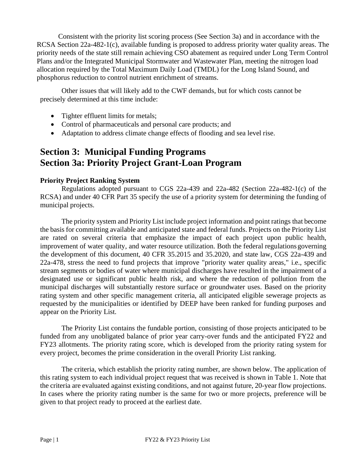Consistent with the priority list scoring process (See Section 3a) and in accordance with the RCSA Section 22a-482-1(c), available funding is proposed to address priority water quality areas. The priority needs of the state still remain achieving CSO abatement as required under Long Term Control Plans and/or the Integrated Municipal Stormwater and Wastewater Plan, meeting the nitrogen load allocation required by the Total Maximum Daily Load (TMDL) for the Long Island Sound, and phosphorus reduction to control nutrient enrichment of streams.

Other issues that will likely add to the CWF demands, but for which costs cannot be precisely determined at this time include:

- Tighter effluent limits for metals;
- Control of pharmaceuticals and personal care products; and
- Adaptation to address climate change effects of flooding and sea level rise.

## **Section 3: Municipal Funding Programs Section 3a: Priority Project Grant-Loan Program**

#### **Priority Project Ranking System**

Regulations adopted pursuant to CGS 22a-439 and 22a-482 (Section 22a-482-1(c) of the RCSA) and under 40 CFR Part 35 specify the use of a priority system for determining the funding of municipal projects.

The priority system and Priority List include project information and point ratings that become the basis for committing available and anticipated state and federal funds. Projects on the Priority List are rated on several criteria that emphasize the impact of each project upon public health, improvement of water quality, and water resource utilization. Both the federal regulations governing the development of this document, 40 CFR 35.2015 and 35.2020, and state law, CGS 22a-439 and 22a-478, stress the need to fund projects that improve "priority water quality areas," i.e., specific stream segments or bodies of water where municipal discharges have resulted in the impairment of a designated use or significant public health risk, and where the reduction of pollution from the municipal discharges will substantially restore surface or groundwater uses. Based on the priority rating system and other specific management criteria, all anticipated eligible sewerage projects as requested by the municipalities or identified by DEEP have been ranked for funding purposes and appear on the Priority List.

The Priority List contains the fundable portion, consisting of those projects anticipated to be funded from any unobligated balance of prior year carry-over funds and the anticipated FY22 and FY23 allotments. The priority rating score, which is developed from the priority rating system for every project, becomes the prime consideration in the overall Priority List ranking.

The criteria, which establish the priority rating number, are shown below. The application of this rating system to each individual project request that was received is shown in Table 1. Note that the criteria are evaluated against existing conditions, and not against future, 20-year flow projections. In cases where the priority rating number is the same for two or more projects, preference will be given to that project ready to proceed at the earliest date.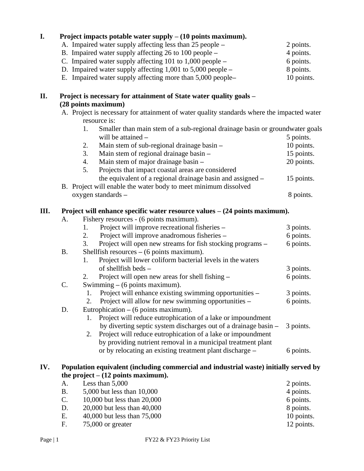| I.  |           |    | Project impacts potable water supply $- (10 \text{ points maximum})$ .                                     |            |
|-----|-----------|----|------------------------------------------------------------------------------------------------------------|------------|
|     |           |    | A. Impaired water supply affecting less than 25 people -                                                   | 2 points.  |
|     |           |    | B. Impaired water supply affecting 26 to 100 people –                                                      | 4 points.  |
|     |           |    | C. Impaired water supply affecting 101 to 1,000 people -                                                   | 6 points.  |
|     |           |    | D. Impaired water supply affecting $1,001$ to $5,000$ people $-$                                           | 8 points.  |
|     |           |    | E. Impaired water supply affecting more than 5,000 people-                                                 | 10 points. |
|     |           |    |                                                                                                            |            |
| П.  |           |    | Project is necessary for attainment of State water quality goals -                                         |            |
|     |           |    | (28 points maximum)                                                                                        |            |
|     |           |    | A. Project is necessary for attainment of water quality standards where the impacted water<br>resource is: |            |
|     |           | 1. | Smaller than main stem of a sub-regional drainage basin or groundwater goals                               |            |
|     |           |    | will be attained -                                                                                         | 5 points.  |
|     |           | 2. | Main stem of sub-regional drainage basin -                                                                 | 10 points. |
|     |           | 3. | Main stem of regional drainage basin -                                                                     | 15 points. |
|     |           | 4. | Main stem of major drainage basin -                                                                        | 20 points. |
|     |           | 5. | Projects that impact coastal areas are considered                                                          |            |
|     |           |    | the equivalent of a regional drainage basin and assigned –                                                 | 15 points. |
|     |           |    | B. Project will enable the water body to meet minimum dissolved                                            |            |
|     |           |    | oxygen standards -                                                                                         | 8 points.  |
|     |           |    |                                                                                                            |            |
| Ш.  |           |    | Project will enhance specific water resource values $- (24$ points maximum).                               |            |
|     | A.        | 1. | Fishery resources - (6 points maximum).                                                                    |            |
|     |           | 2. | Project will improve recreational fisheries -                                                              | 3 points.  |
|     |           | 3. | Project will improve anadromous fisheries -                                                                | 6 points.  |
|     | <b>B.</b> |    | Project will open new streams for fish stocking programs –<br>Shellfish resources $-$ (6 points maximum).  | 6 points.  |
|     |           | 1. | Project will lower coliform bacterial levels in the waters                                                 |            |
|     |           |    | of shellfish beds -                                                                                        | 3 points.  |
|     |           | 2. | Project will open new areas for shell fishing –                                                            | 6 points.  |
|     | C.        |    | Swimming $-$ (6 points maximum).                                                                           |            |
|     |           | 1. | Project will enhance existing swimming opportunities -                                                     | 3 points.  |
|     |           | 2. | Project will allow for new swimming opportunities -                                                        | 6 points.  |
|     | D.        |    | Eutrophication $-$ (6 points maximum).                                                                     |            |
|     |           | 1. | Project will reduce eutrophication of a lake or impoundment                                                |            |
|     |           |    | by diverting septic system discharges out of a drainage basin -                                            | 3 points.  |
|     |           | 2. | Project will reduce eutrophication of a lake or impoundment                                                |            |
|     |           |    | by providing nutrient removal in a municipal treatment plant                                               |            |
|     |           |    | or by relocating an existing treatment plant discharge -                                                   | 6 points.  |
|     |           |    |                                                                                                            |            |
| IV. |           |    | Population equivalent (including commercial and industrial waste) initially served by                      |            |
|     |           |    | the project $- (12$ points maximum).                                                                       |            |
|     | А.        |    | Less than 5,000                                                                                            | 2 points.  |
|     | <b>B.</b> |    | 5,000 but less than 10,000                                                                                 | 4 points.  |
|     | C.        |    | 10,000 but less than 20,000                                                                                | 6 points.  |
|     | D         |    | $20.000 \text{ km} \cdot 1 \cdot 2 \cdot 1 \cdot 1 \cdot 10.000$                                           |            |

D. 20,000 but less than 40,000 8 points.<br>
E. 40,000 but less than 75,000 8 points.<br>
F. 75,000 or greater 12 points. E.  $40,000$  but less than 75,000<br>F.  $75,000$  or greater  $75,000$  or greater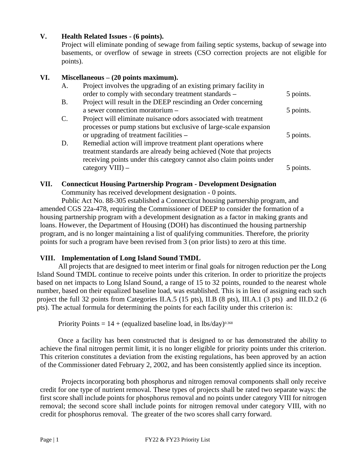#### **V. Health Related Issues - (6 points).**

Project will eliminate ponding of sewage from failing septic systems, backup of sewage into basements, or overflow of sewage in streets (CSO correction projects are not eligible for points).

#### **VI. Miscellaneous – (20 points maximum).**

| A.        | Project involves the upgrading of an existing primary facility in<br>order to comply with secondary treatment standards -                                                                                  | 5 points. |
|-----------|------------------------------------------------------------------------------------------------------------------------------------------------------------------------------------------------------------|-----------|
| <b>B.</b> | Project will result in the DEEP rescinding an Order concerning                                                                                                                                             |           |
|           | a sewer connection moratorium -                                                                                                                                                                            | 5 points. |
|           | Project will eliminate nuisance odors associated with treatment<br>processes or pump stations but exclusive of large-scale expansion                                                                       |           |
|           | or upgrading of treatment facilities –                                                                                                                                                                     | 5 points. |
| D.        | Remedial action will improve treatment plant operations where<br>treatment standards are already being achieved (Note that projects<br>receiving points under this category cannot also claim points under |           |
|           | $category VIII)$ –                                                                                                                                                                                         |           |

#### **VII. Connecticut Housing Partnership Program - Development Designation**

Community has received development designation - 0 points.

Public Act No. 88-305 established a Connecticut housing partnership program, and amended CGS 22a-478, requiring the Commissioner of DEEP to consider the formation of a housing partnership program with a development designation as a factor in making grants and loans. However, the Department of Housing (DOH) has discontinued the housing partnership program, and is no longer maintaining a list of qualifying communities. Therefore, the priority points for such a program have been revised from 3 (on prior lists) to zero at this time.

#### **VIII. Implementation of Long Island Sound TMDL**

All projects that are designed to meet interim or final goals for nitrogen reduction per the Long Island Sound TMDL continue to receive points under this criterion. In order to prioritize the projects based on net impacts to Long Island Sound, a range of 15 to 32 points, rounded to the nearest whole number, based on their equalized baseline load, was established. This is in lieu of assigning each such project the full 32 points from Categories II.A.5 (15 pts), II.B (8 pts), III.A.1 (3 pts) and III.D.2 (6 pts). The actual formula for determining the points for each facility under this criterion is:

Priority Points =  $14 + (equalized baseline load, in lbs/day)^{0.368}$ 

Once a facility has been constructed that is designed to or has demonstrated the ability to achieve the final nitrogen permit limit, it is no longer eligible for priority points under this criterion. This criterion constitutes a deviation from the existing regulations, has been approved by an action of the Commissioner dated February 2, 2002, and has been consistently applied since its inception.

Projects incorporating both phosphorus and nitrogen removal components shall only receive credit for one type of nutrient removal. These types of projects shall be rated two separate ways: the first score shall include points for phosphorus removal and no points under category VIII for nitrogen removal; the second score shall include points for nitrogen removal under category VIII, with no credit for phosphorus removal. The greater of the two scores shall carry forward.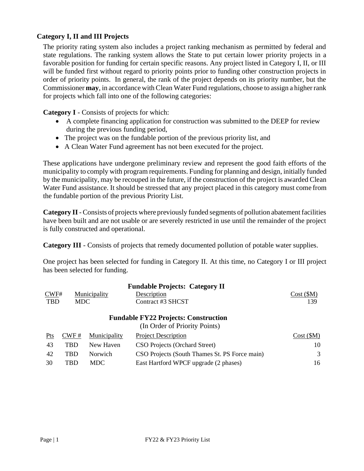#### **Category I, II and III Projects**

The priority rating system also includes a project ranking mechanism as permitted by federal and state regulations. The ranking system allows the State to put certain lower priority projects in a favorable position for funding for certain specific reasons. Any project listed in Category I, II, or III will be funded first without regard to priority points prior to funding other construction projects in order of priority points. In general, the rank of the project depends on its priority number, but the Commissioner **may**, in accordance with Clean Water Fund regulations, choose to assign a higher rank for projects which fall into one of the following categories:

**Category I** - Consists of projects for which:

- A complete financing application for construction was submitted to the DEEP for review during the previous funding period,
- The project was on the fundable portion of the previous priority list, and
- A Clean Water Fund agreement has not been executed for the project.

These applications have undergone preliminary review and represent the good faith efforts of the municipality to comply with program requirements. Funding for planning and design, initially funded by the municipality, may be recouped in the future, if the construction of the project is awarded Clean Water Fund assistance. It should be stressed that any project placed in this category must come from the fundable portion of the previous Priority List.

**Category II** - Consists of projects where previously funded segments of pollution abatement facilities have been built and are not usable or are severely restricted in use until the remainder of the project is fully constructed and operational.

**Category III** - Consists of projects that remedy documented pollution of potable water supplies.

One project has been selected for funding in Category II. At this time, no Category I or III project has been selected for funding.

|                    |                                             |              | <b>Fundable Projects: Category II</b>         |          |  |  |  |
|--------------------|---------------------------------------------|--------------|-----------------------------------------------|----------|--|--|--|
| CWF#               |                                             | Municipality | Description                                   | Cost(SM) |  |  |  |
| <b>TBD</b><br>MDC. |                                             |              | Contract #3 SHCST                             | 139      |  |  |  |
|                    | <b>Fundable FY22 Projects: Construction</b> |              |                                               |          |  |  |  |
|                    |                                             |              | (In Order of Priority Points)                 |          |  |  |  |
| Pts                | CWF#                                        | Municipality | <b>Project Description</b>                    | Cost(SM) |  |  |  |
| 43                 | <b>TBD</b>                                  | New Haven    | CSO Projects (Orchard Street)                 | 10       |  |  |  |
| 42                 | <b>TBD</b>                                  | Norwich      | CSO Projects (South Thames St. PS Force main) | 3        |  |  |  |
| 30                 | TBD                                         | <b>MDC</b>   | East Hartford WPCF upgrade (2 phases)         | 16       |  |  |  |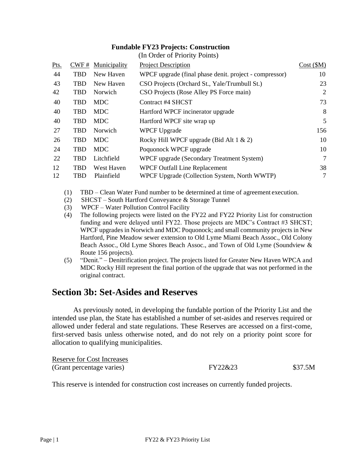#### **Fundable FY23 Projects: Construction** (In Order of Priority Points)

|      |      |              | $\mu$ . The contract of the state $\mu$                |          |
|------|------|--------------|--------------------------------------------------------|----------|
| Pts. | CWF# | Municipality | <b>Project Description</b>                             | Cost(SM) |
| 44   | TBD  | New Haven    | WPCF upgrade (final phase denit. project - compressor) | 10       |
| 43   | TBD  | New Haven    | CSO Projects (Orchard St., Yale/Trumbull St.)          | 23       |
| 42   | TBD  | Norwich      | CSO Projects (Rose Alley PS Force main)                | 2        |
| 40   | TBD  | <b>MDC</b>   | Contract #4 SHCST                                      | 73       |
| 40   | TBD  | <b>MDC</b>   | Hartford WPCF incinerator upgrade                      | 8        |
| 40   | TBD  | MDC.         | Hartford WPCF site wrap up                             | 5        |
| 27   | TBD  | Norwich      | <b>WPCF Upgrade</b>                                    | 156      |
| 26   | TBD  | <b>MDC</b>   | Rocky Hill WPCF upgrade (Bid Alt $1 \& 2$ )            | 10       |
| 24   | TBD  | MDC.         | Poquonock WPCF upgrade                                 | 10       |
| 22   | TBD  | Litchfield   | WPCF upgrade (Secondary Treatment System)              | 7        |
| 12   | TBD  | West Haven   | <b>WPCF Outfall Line Replacement</b>                   | 38       |
| 12   | TBD  | Plainfield   | WPCF Upgrade (Collection System, North WWTP)           | 7        |
|      |      |              |                                                        |          |

- (1) TBD Clean Water Fund number to be determined at time of agreement execution.
- (2) SHCST South Hartford Conveyance & Storage Tunnel
- (3) WPCF Water Pollution Control Facility
- (4) The following projects were listed on the FY22 and FY22 Priority List for construction funding and were delayed until FY22. Those projects are MDC's Contract #3 SHCST; WPCF upgrades in Norwich and MDC Poquonock; and small community projects in New Hartford, Pine Meadow sewer extension to Old Lyme Miami Beach Assoc., Old Colony Beach Assoc., Old Lyme Shores Beach Assoc., and Town of Old Lyme (Soundview & Route 156 projects).
- (5) "Denit." Denitrification project. The projects listed for Greater New Haven WPCA and MDC Rocky Hill represent the final portion of the upgrade that was not performed in the original contract.

## **Section 3b: Set-Asides and Reserves**

As previously noted, in developing the fundable portion of the Priority List and the intended use plan, the State has established a number of set-asides and reserves required or allowed under federal and state regulations. These Reserves are accessed on a first-come, first-served basis unless otherwise noted, and do not rely on a priority point score for allocation to qualifying municipalities.

| <b>Reserve for Cost Increases</b> |         |         |
|-----------------------------------|---------|---------|
| (Grant percentage varies)         | FY22&23 | \$37.5M |

This reserve is intended for construction cost increases on currently funded projects.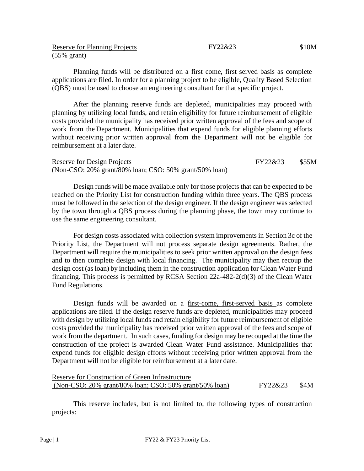Reserve for Planning Projects (55% grant)

Planning funds will be distributed on a first come, first served basis as complete applications are filed. In order for a planning project to be eligible, Quality Based Selection (QBS) must be used to choose an engineering consultant for that specific project.

After the planning reserve funds are depleted, municipalities may proceed with planning by utilizing local funds, and retain eligibility for future reimbursement of eligible costs provided the municipality has received prior written approval of the fees and scope of work from the Department. Municipalities that expend funds for eligible planning efforts without receiving prior written approval from the Department will not be eligible for reimbursement at a later date.

#### Reserve for Design Projects (Non-CSO: 20% grant/80% loan; CSO: 50% grant/50% loan) FY22&23 \$55M

Design funds will be made available only for those projects that can be expected to be reached on the Priority List for construction funding within three years. The QBS process must be followed in the selection of the design engineer. If the design engineer was selected by the town through a QBS process during the planning phase, the town may continue to use the same engineering consultant.

For design costs associated with collection system improvements in Section 3c of the Priority List, the Department will not process separate design agreements. Rather, the Department will require the municipalities to seek prior written approval on the design fees and to then complete design with local financing. The municipality may then recoup the design cost (as loan) by including them in the construction application for Clean Water Fund financing. This process is permitted by RCSA Section 22a-482-2(d)(3) of the Clean Water Fund Regulations.

Design funds will be awarded on a first-come, first-served basis as complete applications are filed. If the design reserve funds are depleted, municipalities may proceed with design by utilizing local funds and retain eligibility for future reimbursement of eligible costs provided the municipality has received prior written approval of the fees and scope of work from the department. In such cases, funding for design may be recouped at the time the construction of the project is awarded Clean Water Fund assistance. Municipalities that expend funds for eligible design efforts without receiving prior written approval from the Department will not be eligible for reimbursement at a later date.

| Reserve for Construction of Green Infrastructure       |         |      |
|--------------------------------------------------------|---------|------|
| (Non-CSO: 20% grant/80% loan; CSO: 50% grant/50% loan) | FY22&23 | \$4M |

This reserve includes, but is not limited to, the following types of construction projects: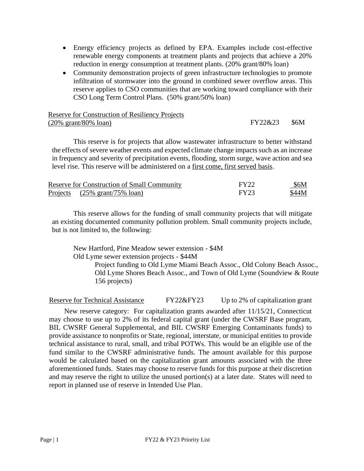- Energy efficiency projects as defined by EPA. Examples include cost-effective renewable energy components at treatment plants and projects that achieve a 20% reduction in energy consumption at treatment plants. (20% grant/80% loan)
- Community demonstration projects of green infrastructure technologies to promote infiltration of stormwater into the ground in combined sewer overflow areas. This reserve applies to CSO communities that are working toward compliance with their CSO Long Term Control Plans. (50% grant/50% loan)

#### Reserve for Construction of Resiliency Projects (20% grant/80% loan) FY22&23 \$6M

This reserve is for projects that allow wastewater infrastructure to better withstand the effects of severe weather events and expected climate change impacts such as an increase in frequency and severity of precipitation events, flooding, storm surge, wave action and sea level rise. This reserve will be administered on a first come, first served basis.

| Reserve for Construction of Small Community | <b>FY22</b> | \$6M  |
|---------------------------------------------|-------------|-------|
| <u>Projects (25% grant/75% loan)</u>        | <b>FY23</b> | \$44M |

This reserve allows for the funding of small community projects that will mitigate an existing documented community pollution problem. Small community projects include, but is not limited to, the following:

New Hartford, Pine Meadow sewer extension - \$4M Old Lyme sewer extension projects - \$44M

> Project funding to Old Lyme Miami Beach Assoc., Old Colony Beach Assoc., Old Lyme Shores Beach Assoc., and Town of Old Lyme (Soundview & Route 156 projects)

Reserve for Technical Assistance FY22&FY23 Up to 2% of capitalization grant

New reserve category: For capitalization grants awarded after 11/15/21, Connecticut may choose to use up to 2% of its federal capital grant (under the CWSRF Base program, BIL CWSRF General Supplemental, and BIL CWSRF Emerging Contaminants funds) to provide assistance to nonprofits or State, regional, interstate, or municipal entities to provide technical assistance to rural, small, and tribal POTWs. This would be an eligible use of the fund similar to the CWSRF administrative funds. The amount available for this purpose would be calculated based on the capitalization grant amounts associated with the three aforementioned funds. States may choose to reserve funds for this purpose at their discretion and may reserve the right to utilize the unused portion(s) at a later date. States will need to report in planned use of reserve in Intended Use Plan.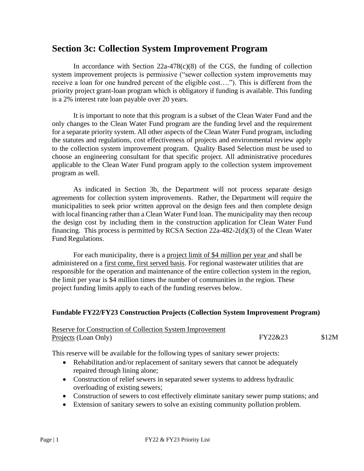## **Section 3c: Collection System Improvement Program**

In accordance with Section  $22a-478(c)(8)$  of the CGS, the funding of collection system improvement projects is permissive ("sewer collection system improvements may receive a loan for one hundred percent of the eligible cost…."). This is different from the priority project grant-loan program which is obligatory if funding is available. This funding is a 2% interest rate loan payable over 20 years.

It is important to note that this program is a subset of the Clean Water Fund and the only changes to the Clean Water Fund program are the funding level and the requirement for a separate priority system. All other aspects of the Clean Water Fund program, including the statutes and regulations, cost effectiveness of projects and environmental review apply to the collection system improvement program. Quality Based Selection must be used to choose an engineering consultant for that specific project. All administrative procedures applicable to the Clean Water Fund program apply to the collection system improvement program as well.

As indicated in Section 3b, the Department will not process separate design agreements for collection system improvements. Rather, the Department will require the municipalities to seek prior written approval on the design fees and then complete design with local financing rather than a Clean Water Fund loan. The municipality may then recoup the design cost by including them in the construction application for Clean Water Fund financing. This process is permitted by RCSA Section 22a-482-2(d)(3) of the Clean Water Fund Regulations.

For each municipality, there is a project limit of \$4 million per year and shall be administered on a first come, first served basis. For regional wastewater utilities that are responsible for the operation and maintenance of the entire collection system in the region, the limit per year is \$4 million times the number of communities in the region. These project funding limits apply to each of the funding reserves below.

#### **Fundable FY22/FY23 Construction Projects (Collection System Improvement Program)**

| Reserve for Construction of Collection System Improvement |         |       |
|-----------------------------------------------------------|---------|-------|
| Projects (Loan Only)                                      | FY22&23 | \$12M |

This reserve will be available for the following types of sanitary sewer projects:

- Rehabilitation and/or replacement of sanitary sewers that cannot be adequately repaired through lining alone;
- Construction of relief sewers in separated sewer systems to address hydraulic overloading of existing sewers;
- Construction of sewers to cost effectively eliminate sanitary sewer pump stations; and
- Extension of sanitary sewers to solve an existing community pollution problem.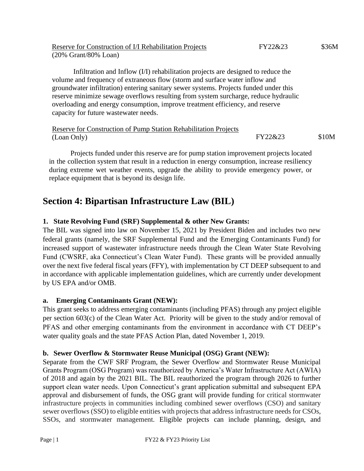| Grants Program (OSG Program) was reauthorized by America's Water Infrastructure Act (AWIA)  |  |  |  |  |  |  |  |
|---------------------------------------------------------------------------------------------|--|--|--|--|--|--|--|
| of 2018 and again by the 2021 BIL. The BIL reauthorized the program through 2026 to further |  |  |  |  |  |  |  |
|                                                                                             |  |  |  |  |  |  |  |

Separate from the CWF SRF Program, the Sewer Overflow and Stormwater Reuse Municipal

of 2018 and again by the 2021 BIL. The BIL reauthorized the program through 2026 to further support clean water needs. Upon Connecticut's grant application submittal and subsequent EPA approval and disbursement of funds, the OSG grant will provide funding for critical stormwater infrastructure projects in communities including combined sewer overflows (CSO) and sanitary sewer overflows (SSO) to eligible entities with projects that address infrastructure needs for CSOs, SSOs, and stormwater management. Eligible projects can include planning, design, and

groundwater infiltration) entering sanitary sewer systems. Projects funded under this reserve minimize sewage overflows resulting from system surcharge, reduce hydraulic overloading and energy consumption, improve treatment efficiency, and reserve capacity for future wastewater needs.

Infiltration and Inflow (I/I) rehabilitation projects are designed to reduce the

volume and frequency of extraneous flow (storm and surface water inflow and

```
Reserve for Construction of Pump Station Rehabilitation Projects 
(Loan Only) FY22&23 $10M
```
Projects funded under this reserve are for pump station improvement projects located in the collection system that result in a reduction in energy consumption, increase resiliency during extreme wet weather events, upgrade the ability to provide emergency power, or replace equipment that is beyond its design life.

## **Section 4: Bipartisan Infrastructure Law (BIL)**

Reserve for Construction of I/I Rehabilitation Projects

(20% Grant/80% Loan) (20% Grant/80% Loan)

#### **1. State Revolving Fund (SRF) Supplemental & other New Grants:**

The BIL was signed into law on November 15, 2021 by President Biden and includes two new federal grants (namely, the SRF Supplemental Fund and the Emerging Contaminants Fund) for increased support of wastewater infrastructure needs through the Clean Water State Revolving Fund (CWSRF, aka Connecticut's Clean Water Fund). These grants will be provided annually over the next five federal fiscal years (FFY), with implementation by CT DEEP subsequent to and in accordance with applicable implementation guidelines, which are currently under development by US EPA and/or OMB.

#### **a. Emerging Contaminants Grant (NEW):**

This grant seeks to address emerging contaminants (including PFAS) through any project eligible per section 603(c) of the Clean Water Act. Priority will be given to the study and/or removal of PFAS and other emerging contaminants from the environment in accordance with CT DEEP's water quality goals and the state PFAS Action Plan, dated November 1, 2019.

### **b. Sewer Overflow & Stormwater Reuse Municipal (OSG) Grant (NEW):**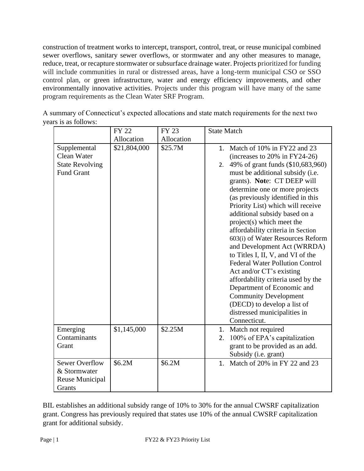construction of treatment works to intercept, transport, control, treat, or reuse municipal combined sewer overflows, sanitary sewer overflows, or stormwater and any other measures to manage, reduce, treat, or recapture stormwater or subsurface drainage water. Projects prioritized for funding will include communities in rural or distressed areas, have a long-term municipal CSO or SSO control plan, or green infrastructure, water and energy efficiency improvements, and other environmentally innovative activities. Projects under this program will have many of the same program requirements as the Clean Water SRF Program.

|                                                                            | <b>FY 22</b> | <b>FY 23</b> | <b>State Match</b>                                                                                                                                                                                                                                                                                                                                                                                                                                                                                                                                                                                                                                                                                                                                               |
|----------------------------------------------------------------------------|--------------|--------------|------------------------------------------------------------------------------------------------------------------------------------------------------------------------------------------------------------------------------------------------------------------------------------------------------------------------------------------------------------------------------------------------------------------------------------------------------------------------------------------------------------------------------------------------------------------------------------------------------------------------------------------------------------------------------------------------------------------------------------------------------------------|
|                                                                            | Allocation   | Allocation   |                                                                                                                                                                                                                                                                                                                                                                                                                                                                                                                                                                                                                                                                                                                                                                  |
| Supplemental<br>Clean Water<br><b>State Revolving</b><br><b>Fund Grant</b> | \$21,804,000 | \$25.7M      | 1. Match of 10% in FY22 and 23<br>(increases to $20\%$ in FY24-26)<br>49% of grant funds (\$10,683,960)<br>2.<br>must be additional subsidy (i.e.<br>grants). Note: CT DEEP will<br>determine one or more projects<br>(as previously identified in this<br>Priority List) which will receive<br>additional subsidy based on a<br>project(s) which meet the<br>affordability criteria in Section<br>603(i) of Water Resources Reform<br>and Development Act (WRRDA)<br>to Titles I, II, V, and VI of the<br><b>Federal Water Pollution Control</b><br>Act and/or CT's existing<br>affordability criteria used by the<br>Department of Economic and<br><b>Community Development</b><br>(DECD) to develop a list of<br>distressed municipalities in<br>Connecticut. |
| Emerging<br>Contaminants<br>Grant                                          | \$1,145,000  | \$2.25M      | 1. Match not required<br>100% of EPA's capitalization<br>2.<br>grant to be provided as an add.<br>Subsidy (i.e. grant)                                                                                                                                                                                                                                                                                                                                                                                                                                                                                                                                                                                                                                           |
| <b>Sewer Overflow</b><br>& Stormwater<br>Reuse Municipal<br><b>Grants</b>  | \$6.2M       | \$6.2M       | Match of 20% in FY 22 and 23<br>1.                                                                                                                                                                                                                                                                                                                                                                                                                                                                                                                                                                                                                                                                                                                               |

A summary of Connecticut's expected allocations and state match requirements for the next two years is as follows:

BIL establishes an additional subsidy range of 10% to 30% for the annual CWSRF capitalization grant. Congress has previously required that states use 10% of the annual CWSRF capitalization grant for additional subsidy.